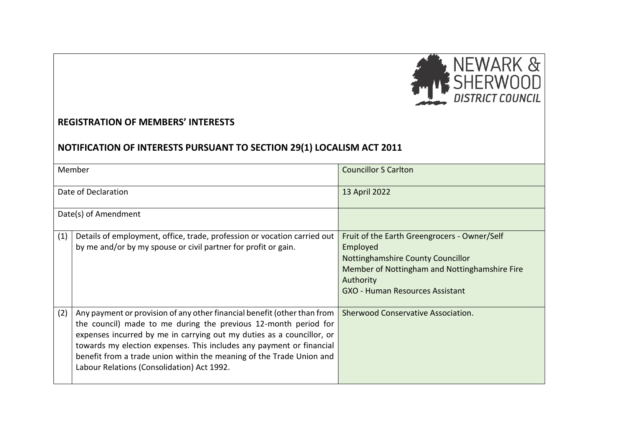

## **REGISTRATION OF MEMBERS' INTERESTS**

## **NOTIFICATION OF INTERESTS PURSUANT TO SECTION 29(1) LOCALISM ACT 2011**

|     | Member                                                                                                                                                                                                                                                                                                                                                                                                             | <b>Councillor S Carlton</b>                                                                                                                                                                           |  |
|-----|--------------------------------------------------------------------------------------------------------------------------------------------------------------------------------------------------------------------------------------------------------------------------------------------------------------------------------------------------------------------------------------------------------------------|-------------------------------------------------------------------------------------------------------------------------------------------------------------------------------------------------------|--|
|     | Date of Declaration                                                                                                                                                                                                                                                                                                                                                                                                | 13 April 2022                                                                                                                                                                                         |  |
|     | Date(s) of Amendment                                                                                                                                                                                                                                                                                                                                                                                               |                                                                                                                                                                                                       |  |
| (1) | Details of employment, office, trade, profession or vocation carried out<br>by me and/or by my spouse or civil partner for profit or gain.                                                                                                                                                                                                                                                                         | Fruit of the Earth Greengrocers - Owner/Self<br>Employed<br>Nottinghamshire County Councillor<br>Member of Nottingham and Nottinghamshire Fire<br>Authority<br><b>GXO - Human Resources Assistant</b> |  |
| (2) | Any payment or provision of any other financial benefit (other than from<br>the council) made to me during the previous 12-month period for<br>expenses incurred by me in carrying out my duties as a councillor, or<br>towards my election expenses. This includes any payment or financial<br>benefit from a trade union within the meaning of the Trade Union and<br>Labour Relations (Consolidation) Act 1992. | Sherwood Conservative Association.                                                                                                                                                                    |  |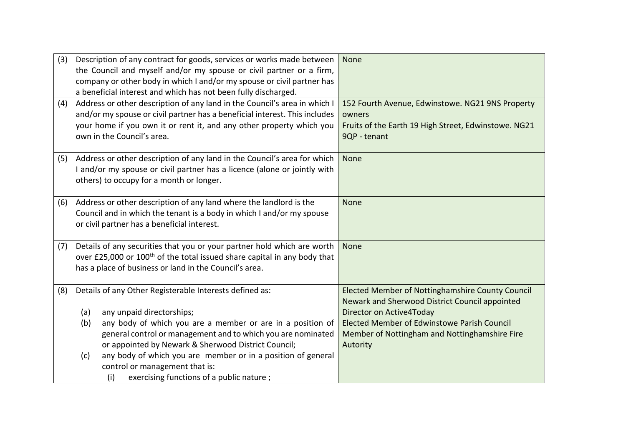| (3) | Description of any contract for goods, services or works made between<br>the Council and myself and/or my spouse or civil partner or a firm,<br>company or other body in which I and/or my spouse or civil partner has<br>a beneficial interest and which has not been fully discharged.                                                                                                                                                            | None                                                                                                                                                                                                                                              |
|-----|-----------------------------------------------------------------------------------------------------------------------------------------------------------------------------------------------------------------------------------------------------------------------------------------------------------------------------------------------------------------------------------------------------------------------------------------------------|---------------------------------------------------------------------------------------------------------------------------------------------------------------------------------------------------------------------------------------------------|
| (4) | Address or other description of any land in the Council's area in which I<br>and/or my spouse or civil partner has a beneficial interest. This includes<br>your home if you own it or rent it, and any other property which you<br>own in the Council's area.                                                                                                                                                                                       | 152 Fourth Avenue, Edwinstowe. NG21 9NS Property<br>owners<br>Fruits of the Earth 19 High Street, Edwinstowe. NG21<br>9QP - tenant                                                                                                                |
| (5) | Address or other description of any land in the Council's area for which<br>I and/or my spouse or civil partner has a licence (alone or jointly with<br>others) to occupy for a month or longer.                                                                                                                                                                                                                                                    | None                                                                                                                                                                                                                                              |
| (6) | Address or other description of any land where the landlord is the<br>Council and in which the tenant is a body in which I and/or my spouse<br>or civil partner has a beneficial interest.                                                                                                                                                                                                                                                          | None                                                                                                                                                                                                                                              |
| (7) | Details of any securities that you or your partner hold which are worth<br>over £25,000 or 100 <sup>th</sup> of the total issued share capital in any body that<br>has a place of business or land in the Council's area.                                                                                                                                                                                                                           | None                                                                                                                                                                                                                                              |
| (8) | Details of any Other Registerable Interests defined as:<br>any unpaid directorships;<br>(a)<br>any body of which you are a member or are in a position of<br>(b)<br>general control or management and to which you are nominated<br>or appointed by Newark & Sherwood District Council;<br>any body of which you are member or in a position of general<br>(c)<br>control or management that is:<br>exercising functions of a public nature;<br>(i) | Elected Member of Nottinghamshire County Council<br>Newark and Sherwood District Council appointed<br>Director on Active4Today<br><b>Elected Member of Edwinstowe Parish Council</b><br>Member of Nottingham and Nottinghamshire Fire<br>Autority |